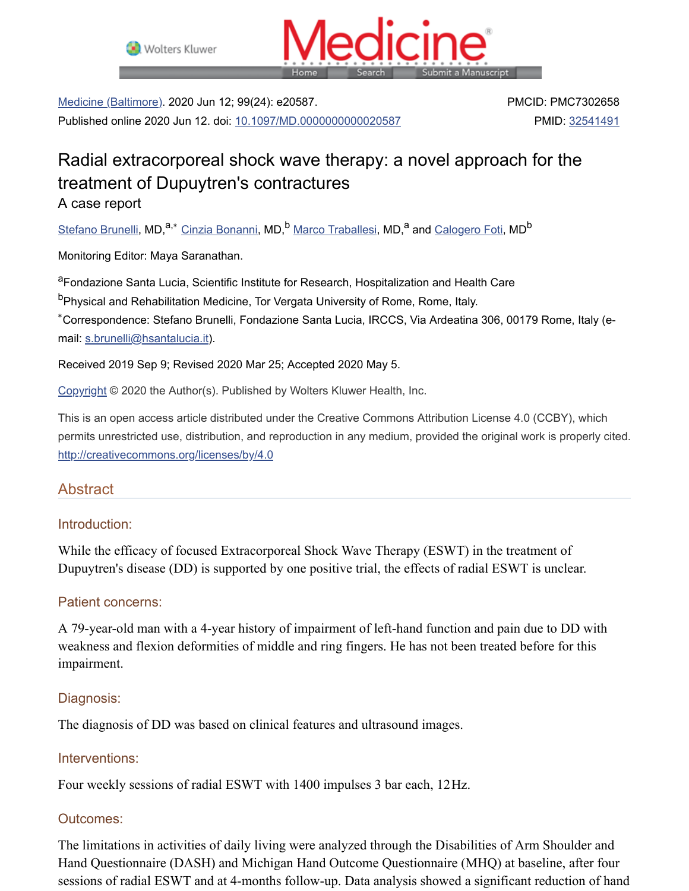



Medicine (Baltimore). 2020 Jun 12; 99(24): e20587. Published online 2020 Jun 12. doi: [10.1097/MD.0000000000020587](https://dx.doi.org/10.1097%2FMD.0000000000020587) PMCID: PMC7302658 PMID: [32541491](https://www.ncbi.nlm.nih.gov/pubmed/32541491)

# Radial extracorporeal shock wave therapy: a novel approach for the treatment of Dupuytren's contractures

A case report

<u>[Stefano](https://www.ncbi.nlm.nih.gov/pubmed/?term=Brunelli%20S%5BAuthor%5D&cauthor=true&cauthor_uid=32541491) Brunelli,</u> MD,<sup>a,∗</sup> Cinzia [Bonanni](https://www.ncbi.nlm.nih.gov/pubmed/?term=Bonanni%20C%5BAuthor%5D&cauthor=true&cauthor_uid=32541491), MD,<sup>b</sup> Marco [Traballesi,](https://www.ncbi.nlm.nih.gov/pubmed/?term=Traballesi%20M%5BAuthor%5D&cauthor=true&cauthor_uid=32541491) MD,<sup>a</sup> and <u>[Calogero](https://www.ncbi.nlm.nih.gov/pubmed/?term=Foti%20C%5BAuthor%5D&cauthor=true&cauthor_uid=32541491) Foti</u>, MD<sup>b</sup>

Monitoring Editor: Maya Saranathan.

<sup>a</sup>Fondazione Santa Lucia, Scientific Institute for Research, Hospitalization and Health Care

<sup>b</sup>Physical and Rehabilitation Medicine, Tor Vergata University of Rome, Rome, Italy.

Correspondence: Stefano Brunelli, Fondazione Santa Lucia, IRCCS, Via Ardeatina 306, 00179 Rome, Italy (e-∗mail: [s.brunelli@hsantalucia.it](mailto:dev@null)).

Received 2019 Sep 9; Revised 2020 Mar 25; Accepted 2020 May 5.

[Copyright](https://www.ncbi.nlm.nih.gov/pmc/about/copyright/) © 2020 the Author(s). Published by Wolters Kluwer Health, Inc.

This is an open access article distributed under the Creative Commons Attribution License 4.0 (CCBY), which permits unrestricted use, distribution, and reproduction in any medium, provided the original work is properly cited. <http://creativecommons.org/licenses/by/4.0>

# Abstract

# Introduction:

While the efficacy of focused Extracorporeal Shock Wave Therapy (ESWT) in the treatment of Dupuytren's disease (DD) is supported by one positive trial, the effects of radial ESWT is unclear.

# Patient concerns:

A 79-year-old man with a 4-year history of impairment of left-hand function and pain due to DD with weakness and flexion deformities of middle and ring fingers. He has not been treated before for this impairment.

# Diagnosis:

The diagnosis of DD was based on clinical features and ultrasound images.

# Interventions:

Four weekly sessions of radial ESWT with 1400 impulses 3 bar each, 12Hz.

# Outcomes:

The limitations in activities of daily living were analyzed through the Disabilities of Arm Shoulder and Hand Questionnaire (DASH) and Michigan Hand Outcome Questionnaire (MHQ) at baseline, after four sessions of radial ESWT and at 4-months follow-up. Data analysis showed a significant reduction of hand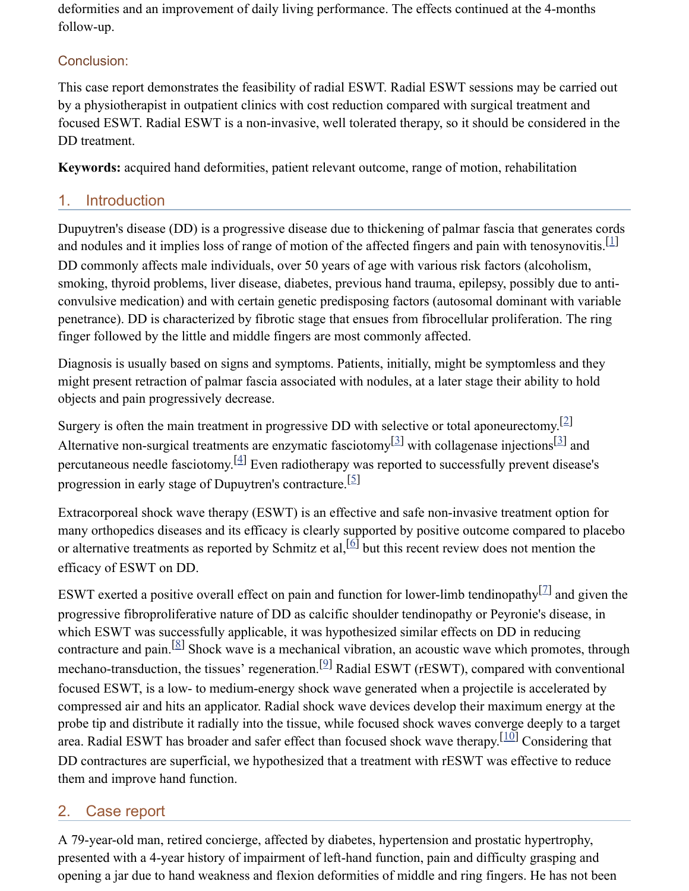deformities and an improvement of daily living performance. The effects continued at the 4-months follow-up.

# Conclusion:

This case report demonstrates the feasibility of radial ESWT. Radial ESWT sessions may be carried out by a physiotherapist in outpatient clinics with cost reduction compared with surgical treatment and focused ESWT. Radial ESWT is a non-invasive, well tolerated therapy, so it should be considered in the DD treatment.

**Keywords:** acquired hand deformities, patient relevant outcome, range of motion, rehabilitation

# 1. Introduction

Dupuytren's disease (DD) is a progressive disease due to thickening of palmar fascia that generates cords and nodules and it implies loss of range of motion of the affected fingers and pain with tenosynovitis.<sup>[[1\]](#page-7-0)</sup> DD commonly affects male individuals, over 50 years of age with various risk factors (alcoholism, smoking, thyroid problems, liver disease, diabetes, previous hand trauma, epilepsy, possibly due to anticonvulsive medication) and with certain genetic predisposing factors (autosomal dominant with variable penetrance). DD is characterized by fibrotic stage that ensues from fibrocellular proliferation. The ring finger followed by the little and middle fingers are most commonly affected.

Diagnosis is usually based on signs and symptoms. Patients, initially, might be symptomless and they might present retraction of palmar fascia associated with nodules, at a later stage their ability to hold objects and pain progressively decrease.

Surgery is often the main treatment in progressive DD with selective or total aponeurectomy.<sup>[[2\]](#page-7-1)</sup> Alternative non-surgical treatments are enzymatic fasciotomy  $[3]$  $[3]$  with collagenase injections  $[3]$  $[3]$  $[3]$  and percutaneous needle fasciotomy.  $^{[4]}$  $^{[4]}$  $^{[4]}$  Even radiotherapy was reported to successfully prevent disease's progression in early stage of Dupuytren's contracture.<sup>[[5\]](#page-7-4)</sup>

Extracorporeal shock wave therapy (ESWT) is an effective and safe non-invasive treatment option for many orthopedics diseases and its efficacy is clearly supported by positive outcome compared to placebo or alternative treatments as reported by Schmitz et al,  $\left[6\right]$  $\left[6\right]$  $\left[6\right]$  but this recent review does not mention the efficacy of ESWT on DD.

ESWT exerted a positive overall effect on pain and function for lower-limb tendinopathy  $[2]$  and given the progressive fibroproliferative nature of DD as calcific shoulder tendinopathy or Peyronie's disease, in which ESWT was successfully applicable, it was hypothesized similar effects on DD in reducing contracture and pain.  $[8]$  $[8]$  Shock wave is a mechanical vibration, an acoustic wave which promotes, through mechano-transduction, the tissues' regeneration.<sup>[\[9](#page-7-8)]</sup> Radial ESWT (rESWT), compared with conventional focused ESWT, is a low- to medium-energy shock wave generated when a projectile is accelerated by compressed air and hits an applicator. Radial shock wave devices develop their maximum energy at the probe tip and distribute it radially into the tissue, while focused shock waves converge deeply to a target area. Radial ESWT has broader and safer effect than focused shock wave therapy.  $\left[\frac{10}{10}\right]$  Considering that DD contractures are superficial, we hypothesized that a treatment with rESWT was effective to reduce them and improve hand function.

# 2. Case report

A 79-year-old man, retired concierge, affected by diabetes, hypertension and prostatic hypertrophy, presented with a 4-year history of impairment of left-hand function, pain and difficulty grasping and opening a jar due to hand weakness and flexion deformities of middle and ring fingers. He has not been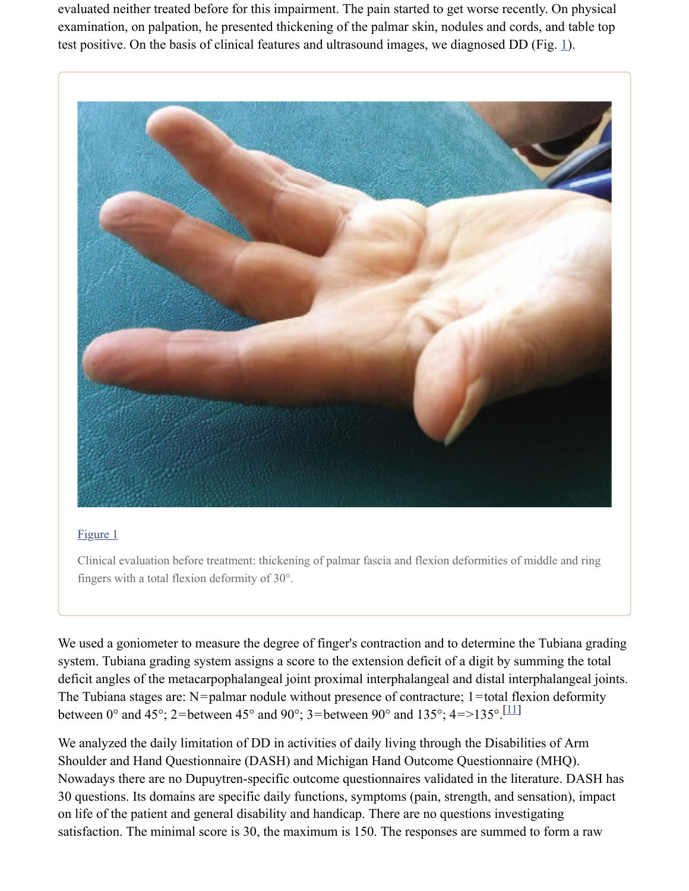evaluated neither treated before for this impairment. The pain started to get worse recently. On physical examination, on palpation, he presented thickening of the palmar skin, nodules and cords, and table top test positive. On the basis of clinical features and ultrasound images, we diagnosed DD (Fig.  $\underline{1}$ ).



#### [Figure](https://www.ncbi.nlm.nih.gov/pmc/articles/PMC7302658/figure/F1/) 1

Clinical evaluation before treatment: thickening of palmar fascia and flexion deformities of middle and ring fingers with a total flexion deformity of 30°.

We used a goniometer to measure the degree of finger's contraction and to determine the Tubiana grading system. Tubiana grading system assigns a score to the extension deficit of a digit by summing the total deficit angles of the metacarpophalangeal joint proximal interphalangeal and distal interphalangeal joints. The Tubiana stages are:  $N=$  palmar nodule without presence of contracture; 1 = total flexion deformity between 0° and 45°; 2=between 45° and 90°; 3=between 90° and 135°; 4=>135°. [\[11](#page-7-10)]

We analyzed the daily limitation of DD in activities of daily living through the Disabilities of Arm Shoulder and Hand Questionnaire (DASH) and Michigan Hand Outcome Questionnaire (MHQ). Nowadays there are no Dupuytren-specific outcome questionnaires validated in the literature. DASH has 30 questions. Its domains are specific daily functions, symptoms (pain, strength, and sensation), impact on life of the patient and general disability and handicap. There are no questions investigating satisfaction. The minimal score is 30, the maximum is 150. The responses are summed to form a raw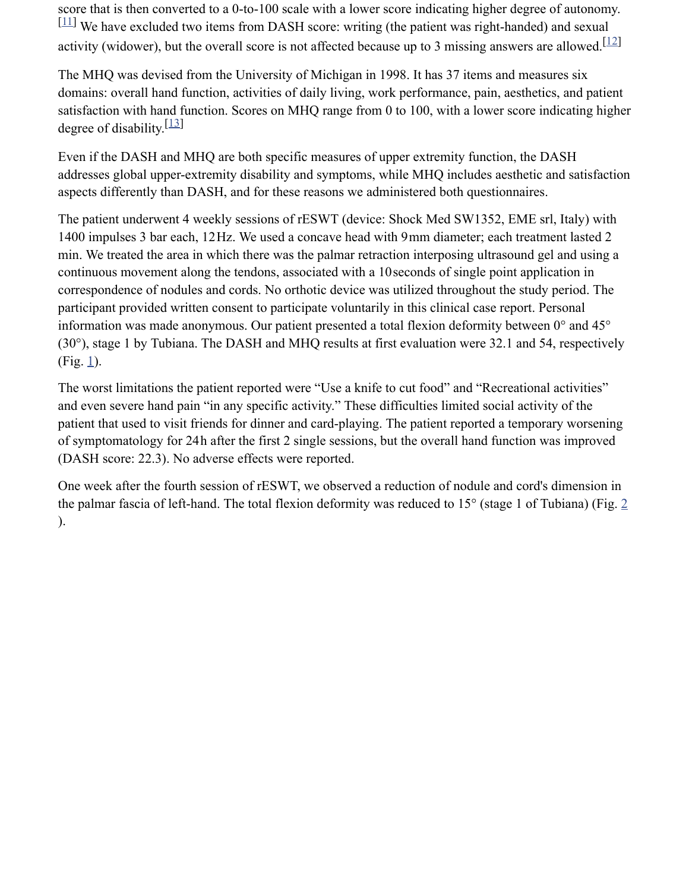score that is then converted to a 0-to-100 scale with a lower score indicating higher degree of autonomy.  $\left[ \frac{11}{11} \right]$  $\left[ \frac{11}{11} \right]$  $\left[ \frac{11}{11} \right]$  We have excluded two items from DASH score: writing (the patient was right-handed) and sexual activity (widower), but the overall score is not affected because up to 3 missing answers are allowed.  $[12]$  $[12]$  $[12]$ 

The MHQ was devised from the University of Michigan in 1998. It has 37 items and measures six domains: overall hand function, activities of daily living, work performance, pain, aesthetics, and patient satisfaction with hand function. Scores on MHQ range from 0 to 100, with a lower score indicating higher degree of disability.<sup>[[13\]](#page-7-12)</sup>

Even if the DASH and MHQ are both specific measures of upper extremity function, the DASH addresses global upper-extremity disability and symptoms, while MHQ includes aesthetic and satisfaction aspects differently than DASH, and for these reasons we administered both questionnaires.

The patient underwent 4 weekly sessions of rESWT (device: Shock Med SW1352, EME srl, Italy) with 1400 impulses 3 bar each, 12Hz. We used a concave head with 9mm diameter; each treatment lasted 2 min. We treated the area in which there was the palmar retraction interposing ultrasound gel and using a continuous movement along the tendons, associated with a 10seconds of single point application in correspondence of nodules and cords. No orthotic device was utilized throughout the study period. The participant provided written consent to participate voluntarily in this clinical case report. Personal information was made anonymous. Our patient presented a total flexion deformity between 0° and 45° (30°), stage 1 by Tubiana. The DASH and MHQ results at first evaluation were 32.1 and 54, respectively  $(Fig. 1)$  $(Fig. 1)$  $(Fig. 1)$ .

The worst limitations the patient reported were "Use a knife to cut food" and "Recreational activities" and even severe hand pain "in any specific activity." These difficulties limited social activity of the patient that used to visit friends for dinner and card-playing. The patient reported a temporary worsening of symptomatology for 24h after the first 2 single sessions, but the overall hand function was improved (DASH score: 22.3). No adverse effects were reported.

One week after the fourth session of rESWT, we observed a reduction of nodule and cord's dimension in the palmar fascia of left-hand. The total flexion deformity was reduced to 15° (stage 1 of Tubiana) (Fig. [2](https://www.ncbi.nlm.nih.gov/pmc/articles/PMC7302658/figure/F2/) ).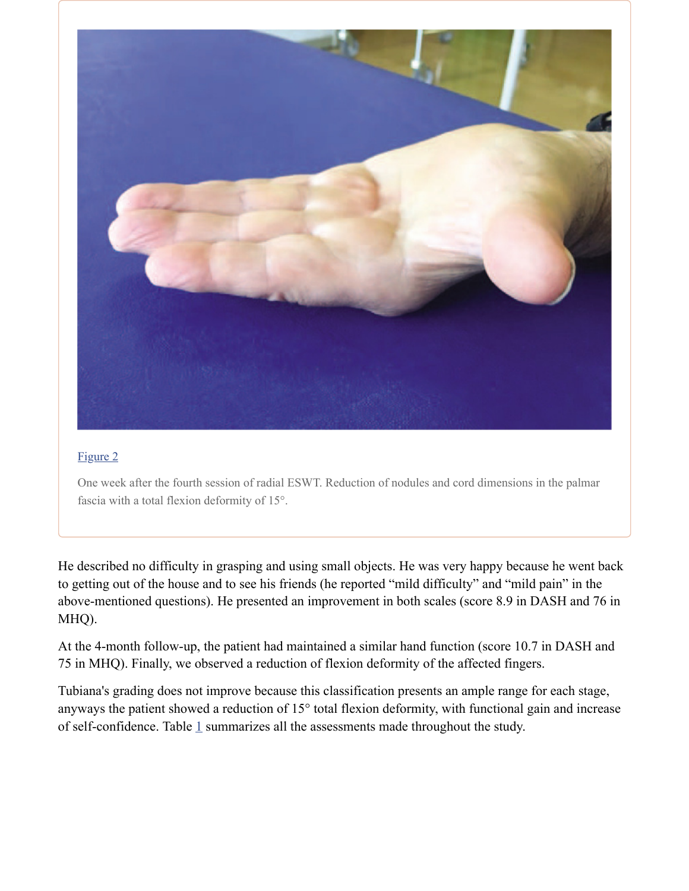

#### [Figure](https://www.ncbi.nlm.nih.gov/pmc/articles/PMC7302658/figure/F2/) 2

One week after the fourth session of radial ESWT. Reduction of nodules and cord dimensions in the palmar fascia with a total flexion deformity of 15°.

He described no difficulty in grasping and using small objects. He was very happy because he went back to getting out of the house and to see his friends (he reported "mild difficulty" and "mild pain" in the above-mentioned questions). He presented an improvement in both scales (score 8.9 in DASH and 76 in MHQ).

At the 4-month follow-up, the patient had maintained a similar hand function (score 10.7 in DASH and 75 in MHQ). Finally, we observed a reduction of flexion deformity of the affected fingers.

Tubiana's grading does not improve because this classification presents an ample range for each stage, anyways the patient showed a reduction of 15° total flexion deformity, with functional gain and increase of self-confidence. Table  $1$  summarizes all the assessments made throughout the study.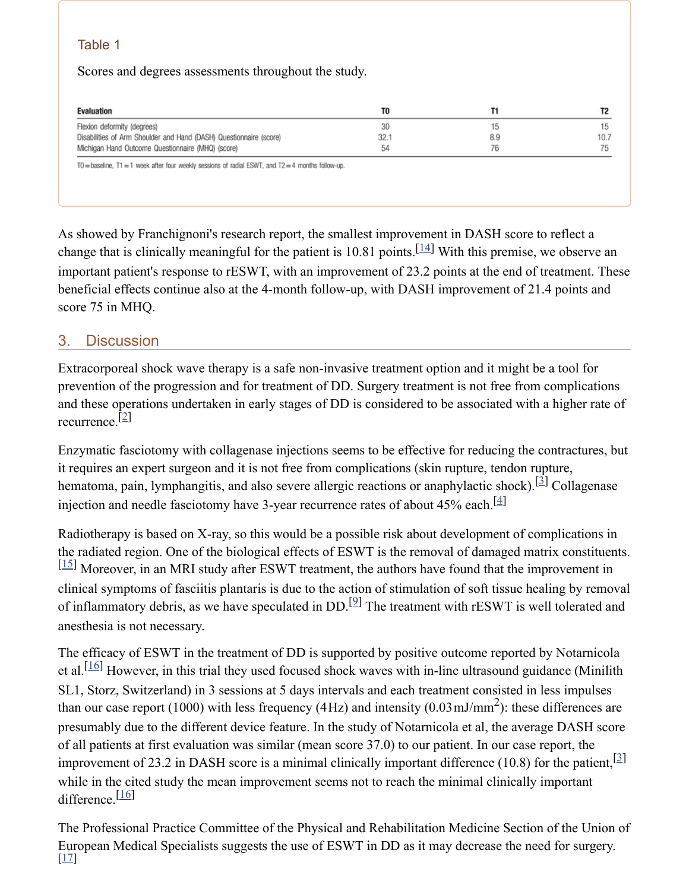# Table 1

Scores and degrees assessments throughout the study.

| Evaluation                                                         | TO   |     | T2   |
|--------------------------------------------------------------------|------|-----|------|
| Flexion deformity (degrees)                                        | 30   | 15  | 15   |
| Disabilities of Arm Shoulder and Hand (DASH) Questionnaire (score) | 32.1 | 8.9 | 10.7 |
| Michigan Hand Outcome Questionnaire (MHQ) (score)                  | 54   | 76  | 75   |

As showed by Franchignoni's research report, the smallest improvement in DASH score to reflect a change that is clinically meaningful for the patient is 10.81 points.  $\left[\frac{14}{1}\right]$  $\left[\frac{14}{1}\right]$  $\left[\frac{14}{1}\right]$  With this premise, we observe an important patient's response to rESWT, with an improvement of 23.2 points at the end of treatment. These beneficial effects continue also at the 4-month follow-up, with DASH improvement of 21.4 points and score 75 in MHQ.

# 3. Discussion

Extracorporeal shock wave therapy is a safe non-invasive treatment option and it might be a tool for prevention of the progression and for treatment of DD. Surgery treatment is not free from complications and these operations undertaken in early stages of DD is considered to be associated with a higher rate of recurrence. [[2](#page-7-1)]

Enzymatic fasciotomy with collagenase injections seems to be effective for reducing the contractures, but it requires an expert surgeon and it is not free from complications (skin rupture, tendon rupture, hematoma, pain, lymphangitis, and also severe allergic reactions or anaphylactic shock).<sup>[[3](#page-7-2)]</sup> Collagenase injection and needle fasciotomy have 3-year recurrence rates of about 45% each.<sup>[[4\]](#page-7-3)</sup>

Radiotherapy is based on X-ray, so this would be a possible risk about development of complications in the radiated region. One of the biological effects of ESWT is the removal of damaged matrix constituents.  $\left[15\right]$  $\left[15\right]$  $\left[15\right]$  Moreover, in an MRI study after ESWT treatment, the authors have found that the improvement in clinical symptoms of fasciitis plantaris is due to the action of stimulation of soft tissue healing by removal of inflammatory debris, as we have speculated in  $DD$ .<sup>[2]</sup> The treatment with rESWT is well tolerated and anesthesia is not necessary.

The efficacy of ESWT in the treatment of DD is supported by positive outcome reported by Notarnicola et al.<sup>[\[16](#page-8-0)]</sup> However, in this trial they used focused shock waves with in-line ultrasound guidance (Minilith SL1, Storz, Switzerland) in 3 sessions at 5 days intervals and each treatment consisted in less impulses than our case report (1000) with less frequency (4Hz) and intensity (0.03 mJ/mm<sup>2</sup>): these differences are presumably due to the different device feature. In the study of Notarnicola et al, the average DASH score of all patients at first evaluation was similar (mean score 37.0) to our patient. In our case report, the improvement of 23.2 in DASH score is a minimal clinically important difference (10.8) for the patient,  $[3]$ while in the cited study the mean improvement seems not to reach the minimal clinically important difference.<sup>[\[16](#page-8-0)]</sup>

The Professional Practice Committee of the Physical and Rehabilitation Medicine Section of the Union of European Medical Specialists suggests the use of ESWT in DD as it may decrease the need for surgery. [[17](#page-8-1)]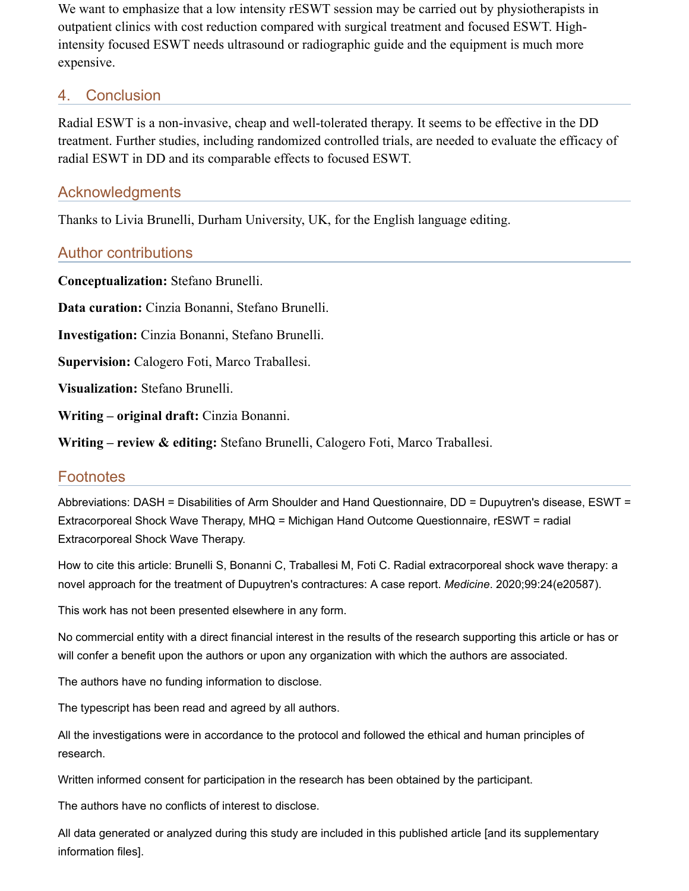We want to emphasize that a low intensity rESWT session may be carried out by physiotherapists in outpatient clinics with cost reduction compared with surgical treatment and focused ESWT. Highintensity focused ESWT needs ultrasound or radiographic guide and the equipment is much more expensive.

# 4. Conclusion

Radial ESWT is a non-invasive, cheap and well-tolerated therapy. It seems to be effective in the DD treatment. Further studies, including randomized controlled trials, are needed to evaluate the efficacy of radial ESWT in DD and its comparable effects to focused ESWT.

# Acknowledgments

Thanks to Livia Brunelli, Durham University, UK, for the English language editing.

# Author contributions

**Conceptualization:** Stefano Brunelli.

**Data curation:** Cinzia Bonanni, Stefano Brunelli.

**Investigation:** Cinzia Bonanni, Stefano Brunelli.

**Supervision:** Calogero Foti, Marco Traballesi.

**Visualization:** Stefano Brunelli.

**Writing – original draft:** Cinzia Bonanni.

**Writing – review & editing:** Stefano Brunelli, Calogero Foti, Marco Traballesi.

# **Footnotes**

Abbreviations: DASH = Disabilities of Arm Shoulder and Hand Questionnaire, DD = Dupuytren's disease, ESWT = Extracorporeal Shock Wave Therapy, MHQ = Michigan Hand Outcome Questionnaire, rESWT = radial Extracorporeal Shock Wave Therapy.

How to cite this article: Brunelli S, Bonanni C, Traballesi M, Foti C. Radial extracorporeal shock wave therapy: a novel approach for the treatment of Dupuytren's contractures: A case report. *Medicine*. 2020;99:24(e20587).

This work has not been presented elsewhere in any form.

No commercial entity with a direct financial interest in the results of the research supporting this article or has or will confer a benefit upon the authors or upon any organization with which the authors are associated.

The authors have no funding information to disclose.

The typescript has been read and agreed by all authors.

All the investigations were in accordance to the protocol and followed the ethical and human principles of research.

Written informed consent for participation in the research has been obtained by the participant.

The authors have no conflicts of interest to disclose.

All data generated or analyzed during this study are included in this published article [and its supplementary information files].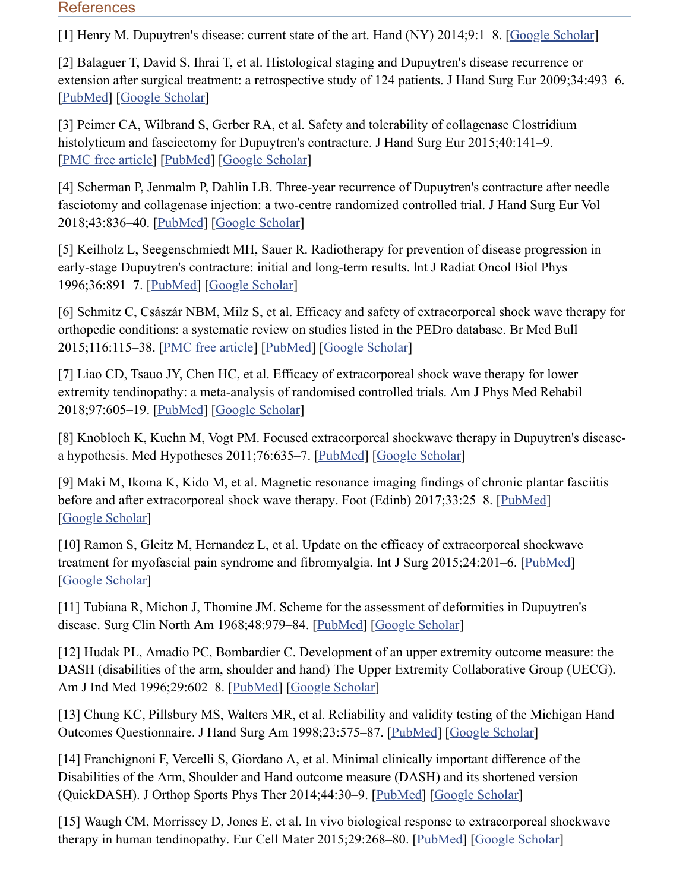#### **References**

<span id="page-7-0"></span>[1] Henry M. Dupuytren's disease: current state of the art. Hand (NY) 2014;9:1–8. [Google [Scholar](https://scholar.google.com/scholar_lookup?journal=Hand+(NY)&title=Dupuytren%27s+disease:+current+state+of+the+art&author=M+Henry&volume=9&publication_year=2014&pages=1-8&)]

<span id="page-7-1"></span>[2] Balaguer T, David S, Ihrai T, et al. Histological staging and Dupuytren's disease recurrence or extension after surgical treatment: a retrospective study of 124 patients. J Hand Surg Eur 2009;34:493–6. [[PubMed](https://www.ncbi.nlm.nih.gov/pubmed/19675030)] [Google [Scholar](https://scholar.google.com/scholar_lookup?journal=J+Hand+Surg+Eur&title=Histological+staging+and+Dupuytren%27s+disease+recurrence+or+extension+after+surgical+treatment:+a+retrospective+study+of+124+patients&author=T+Balaguer&author=S+David&author=T+Ihrai&volume=34&publication_year=2009&pages=493-6&)]

<span id="page-7-2"></span>[3] Peimer CA, Wilbrand S, Gerber RA, et al. Safety and tolerability of collagenase Clostridium histolyticum and fasciectomy for Dupuytren's contracture. J Hand Surg Eur 2015;40:141-9. [PMC free [article\]](https://www.ncbi.nlm.nih.gov/pmc/articles/PMC4361465/) [\[PubMed](https://www.ncbi.nlm.nih.gov/pubmed/24698851)] [Google [Scholar\]](https://scholar.google.com/scholar_lookup?journal=J+Hand+Surg+Eur&title=Safety+and+tolerability+of+collagenase+Clostridium+histolyticum+and+fasciectomy+for+Dupuytren%27s+contracture&author=CA+Peimer&author=S+Wilbrand&author=RA+Gerber&volume=40&publication_year=2015&pages=141-9&)

<span id="page-7-3"></span>[4] Scherman P, Jenmalm P, Dahlin LB. Three-year recurrence of Dupuytren's contracture after needle fasciotomy and collagenase injection: a two-centre randomized controlled trial. J Hand Surg Eur Vol 2018;43:836–40. [\[PubMed\]](https://www.ncbi.nlm.nih.gov/pubmed/30012049) [Google [Scholar\]](https://scholar.google.com/scholar_lookup?journal=J+Hand+Surg+Eur+Vol&title=Three-year+recurrence+of+Dupuytren%27s+contracture+after+needle+fasciotomy+and+collagenase+injection:+a+two-centre+randomized+controlled+trial&author=P+Scherman&author=P+Jenmalm&author=LB+Dahlin&volume=43&publication_year=2018&pages=836-40&pmid=30012049&)

<span id="page-7-4"></span>[5] Keilholz L, Seegenschmiedt MH, Sauer R. Radiotherapy for prevention of disease progression in early-stage Dupuytren's contracture: initial and long-term results. lnt J Radiat Oncol Biol Phys 1996;36:891–7. [\[PubMed\]](https://www.ncbi.nlm.nih.gov/pubmed/8960518) [Google [Scholar\]](https://scholar.google.com/scholar_lookup?journal=lnt+J+Radiat+Oncol+Biol+Phys&title=Radiotherapy+for+prevention+of+disease+progression+in+early-stage+Dupuytren%27s+contracture:+initial+and+long-term+results&author=L+Keilholz&author=MH+Seegenschmiedt&author=R+Sauer&volume=36&publication_year=1996&pages=891-7&)

<span id="page-7-5"></span>[6] Schmitz C, Császár NBM, Milz S, et al. Efficacy and safety of extracorporeal shock wave therapy for orthopedic conditions: a systematic review on studies listed in the PEDro database. Br Med Bull 2015;116:115–38. [PMC free [article](https://www.ncbi.nlm.nih.gov/pmc/articles/PMC4674007/)] [\[PubMed\]](https://www.ncbi.nlm.nih.gov/pubmed/26585999) [Google [Scholar\]](https://scholar.google.com/scholar_lookup?journal=Br+Med+Bull&title=Efficacy+and+safety+of+extracorporeal+shock+wave+therapy+for+orthopedic+conditions:+a+systematic+review+on+studies+listed+in+the+PEDro+database&author=C+Schmitz&author=NBM+Cs%C3%A1sz%C3%A1r&author=S+Milz&volume=116&publication_year=2015&pages=115-38&pmid=26585999&)

<span id="page-7-6"></span>[7] Liao CD, Tsauo JY, Chen HC, et al. Efficacy of extracorporeal shock wave therapy for lower extremity tendinopathy: a meta-analysis of randomised controlled trials. Am J Phys Med Rehabil 2018;97:605–19. [\[PubMed\]](https://www.ncbi.nlm.nih.gov/pubmed/29557811) [Google [Scholar\]](https://scholar.google.com/scholar_lookup?journal=Am+J+Phys+Med+Rehabil&title=Efficacy+of+extracorporeal+shock+wave+therapy+for+lower+extremity+tendinopathy:+a+meta-analysis+of+randomised+controlled+trials&author=CD+Liao&author=JY+Tsauo&author=HC+Chen&volume=97&publication_year=2018&pages=605-19&pmid=29557811&)

<span id="page-7-7"></span>[8] Knobloch K, Kuehn M, Vogt PM. Focused extracorporeal shockwave therapy in Dupuytren's diseasea hypothesis. Med Hypotheses 2011;76:635–7. [[PubMed\]](https://www.ncbi.nlm.nih.gov/pubmed/21277691) [Google [Scholar\]](https://scholar.google.com/scholar_lookup?journal=Med+Hypotheses&title=Focused+extracorporeal+shockwave+therapy+in+Dupuytren%27s+disease-a+hypothesis&author=K+Knobloch&author=M+Kuehn&author=PM+Vogt&volume=76&publication_year=2011&pages=635-7&pmid=21277691&)

<span id="page-7-8"></span>[9] Maki M, Ikoma K, Kido M, et al. Magnetic resonance imaging findings of chronic plantar fasciitis before and after extracorporeal shock wave therapy. Foot (Edinb) 2017;33:25–8. [[PubMed\]](https://www.ncbi.nlm.nih.gov/pubmed/29126038) [Google [Scholar](https://scholar.google.com/scholar_lookup?journal=Foot+(Edinb)&title=Magnetic+resonance+imaging+findings+of+chronic+plantar+fasciitis+before+and+after+extracorporeal+shock+wave+therapy&author=M+Maki&author=K+Ikoma&author=M+Kido&volume=33&publication_year=2017&pages=25-8&pmid=29126038&)]

<span id="page-7-9"></span>[10] Ramon S, Gleitz M, Hernandez L, et al. Update on the efficacy of extracorporeal shockwave treatment for myofascial pain syndrome and fibromyalgia. Int J Surg 2015;24:201–6. [\[PubMed](https://www.ncbi.nlm.nih.gov/pubmed/26363497)] [Google [Scholar](https://scholar.google.com/scholar_lookup?journal=Int+J+Surg&title=Update+on+the+efficacy+of+extracorporeal+shockwave+treatment+for+myofascial+pain+syndrome+and+fibromyalgia&author=S+Ramon&author=M+Gleitz&author=L+Hernandez&volume=24&publication_year=2015&pages=201-6&pmid=26363497&)]

<span id="page-7-10"></span>[11] Tubiana R, Michon J, Thomine JM. Scheme for the assessment of deformities in Dupuytren's disease. Surg Clin North Am 1968;48:979-84. [[PubMed](https://www.ncbi.nlm.nih.gov/pubmed/5683795)] [Google [Scholar\]](https://scholar.google.com/scholar_lookup?journal=Surg+Clin+North+Am&title=Scheme+for+the+assessment+of+deformities+in+Dupuytren%27s+disease&author=R+Tubiana&author=J+Michon&author=JM+Thomine&volume=48&publication_year=1968&pages=979-84&pmid=5683795&)

<span id="page-7-11"></span>[12] Hudak PL, Amadio PC, Bombardier C. Development of an upper extremity outcome measure: the DASH (disabilities of the arm, shoulder and hand) The Upper Extremity Collaborative Group (UECG). Am J Ind Med 1996;29:602–8. [[PubMed\]](https://www.ncbi.nlm.nih.gov/pubmed/8773720) [Google [Scholar](https://scholar.google.com/scholar_lookup?journal=Am+J+Ind+Med&title=Development+of+an+upper+extremity+outcome+measure:+the+DASH+(disabilities+of+the+arm,+shoulder+and+hand)+The+Upper+Extremity+Collaborative+Group+(UECG)&author=PL+Hudak&author=PC+Amadio&author=C+Bombardier&volume=29&publication_year=1996&pages=602-8&pmid=8773720&)]

<span id="page-7-12"></span>[13] Chung KC, Pillsbury MS, Walters MR, et al. Reliability and validity testing of the Michigan Hand Outcomes Questionnaire. J Hand Surg Am 1998;23:575–87. [\[PubMed](https://www.ncbi.nlm.nih.gov/pubmed/9708370)] [Google [Scholar\]](https://scholar.google.com/scholar_lookup?journal=J+Hand+Surg+Am&title=Reliability+and+validity+testing+of+the+Michigan+Hand+Outcomes+Questionnaire&author=KC+Chung&author=MS+Pillsbury&author=MR+Walters&volume=23&publication_year=1998&pages=575-87&pmid=9708370&)

<span id="page-7-13"></span>[14] Franchignoni F, Vercelli S, Giordano A, et al. Minimal clinically important difference of the Disabilities of the Arm, Shoulder and Hand outcome measure (DASH) and its shortened version (QuickDASH). J Orthop Sports Phys Ther 2014;44:30–9. [\[PubMed](https://www.ncbi.nlm.nih.gov/pubmed/24175606)] [Google [Scholar\]](https://scholar.google.com/scholar_lookup?journal=J+Orthop+Sports+Phys+Ther&title=Minimal+clinically+important+difference+of+the+Disabilities+of+the+Arm,+Shoulder+and+Hand+outcome+measure+(DASH)+and+its+shortened+version+(QuickDASH)&author=F+Franchignoni&author=S+Vercelli&author=A+Giordano&volume=44&publication_year=2014&pages=30-9&pmid=24175606&)

<span id="page-7-14"></span>[15] Waugh CM, Morrissey D, Jones E, et al. In vivo biological response to extracorporeal shockwave therapy in human tendinopathy. Eur Cell Mater 2015;29:268-80. [\[PubMed](https://www.ncbi.nlm.nih.gov/pubmed/25978115)] [Google [Scholar](https://scholar.google.com/scholar_lookup?journal=Eur+Cell+Mater&title=In+vivo+biological+response+to+extracorporeal+shockwave+therapy+in+human+tendinopathy&author=CM+Waugh&author=D+Morrissey&author=E+Jones&volume=29&publication_year=2015&pages=268-80&pmid=25978115&)]